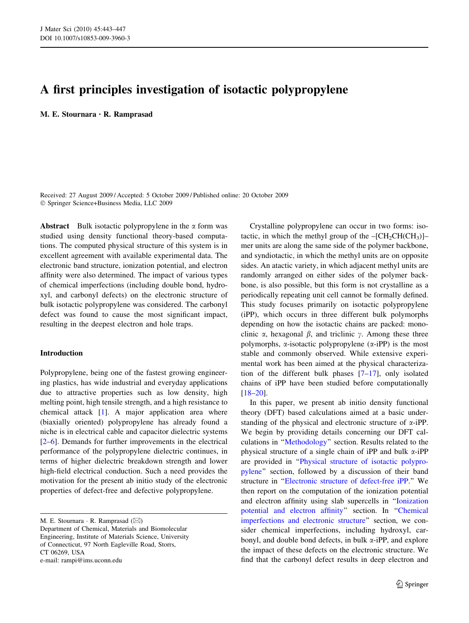# A first principles investigation of isotactic polypropylene

M. E. Stournara *•* R. Ramprasad

Received: 27 August 2009 / Accepted: 5 October 2009 / Published online: 20 October 2009 Springer Science+Business Media, LLC 2009

Abstract Bulk isotactic polypropylene in the  $\alpha$  form was studied using density functional theory-based computations. The computed physical structure of this system is in excellent agreement with available experimental data. The electronic band structure, ionization potential, and electron affinity were also determined. The impact of various types of chemical imperfections (including double bond, hydroxyl, and carbonyl defects) on the electronic structure of bulk isotactic polypropylene was considered. The carbonyl defect was found to cause the most significant impact, resulting in the deepest electron and hole traps.

## Introduction

Polypropylene, being one of the fastest growing engineering plastics, has wide industrial and everyday applications due to attractive properties such as low density, high melting point, high tensile strength, and a high resistance to chemical attack [\[1](#page-4-0)]. A major application area where (biaxially oriented) polypropylene has already found a niche is in electrical cable and capacitor dielectric systems [\[2–6](#page-4-0)]. Demands for further improvements in the electrical performance of the polypropylene dielectric continues, in terms of higher dielectric breakdown strength and lower high-field electrical conduction. Such a need provides the motivation for the present ab initio study of the electronic properties of defect-free and defective polypropylene.

M. E. Stournara  $\cdot$  R. Ramprasad ( $\boxtimes$ ) Department of Chemical, Materials and Biomolecular Engineering, Institute of Materials Science, University of Connecticut, 97 North Eagleville Road, Storrs, CT 06269, USA e-mail: rampi@ims.uconn.edu

Crystalline polypropylene can occur in two forms: isotactic, in which the methyl group of the  $-[CH_2CH(CH_3)]$ mer units are along the same side of the polymer backbone, and syndiotactic, in which the methyl units are on opposite sides. An atactic variety, in which adjacent methyl units are randomly arranged on either sides of the polymer backbone, is also possible, but this form is not crystalline as a periodically repeating unit cell cannot be formally defined. This study focuses primarily on isotactic polypropylene (iPP), which occurs in three different bulk polymorphs depending on how the isotactic chains are packed: monoclinic  $\alpha$ , hexagonal  $\beta$ , and triclinic  $\gamma$ . Among these three polymorphs,  $\alpha$ -isotactic polypropylene ( $\alpha$ -iPP) is the most stable and commonly observed. While extensive experimental work has been aimed at the physical characterization of the different bulk phases [\[7–17](#page-4-0)], only isolated chains of iPP have been studied before computationally [\[18–20](#page-4-0)].

In this paper, we present ab initio density functional theory (DFT) based calculations aimed at a basic understanding of the physical and electronic structure of  $\alpha$ -iPP. We begin by providing details concerning our DFT calculations in ''[Methodology'](#page-1-0)' section. Results related to the physical structure of a single chain of iPP and bulk  $\alpha$ -iPP are provided in ''[Physical structure of isotactic polypro](#page-1-0)[pylene'](#page-1-0)' section, followed by a discussion of their band structure in ''[Electronic structure of defect-free iPP.](#page-1-0)'' We then report on the computation of the ionization potential and electron affinity using slab supercells in ''[Ionization](#page-2-0) [potential and electron affinity](#page-2-0)'' section. In ''[Chemical](#page-3-0) [imperfections and electronic structure](#page-3-0)'' section, we consider chemical imperfections, including hydroxyl, carbonyl, and double bond defects, in bulk  $\alpha$ -iPP, and explore the impact of these defects on the electronic structure. We find that the carbonyl defect results in deep electron and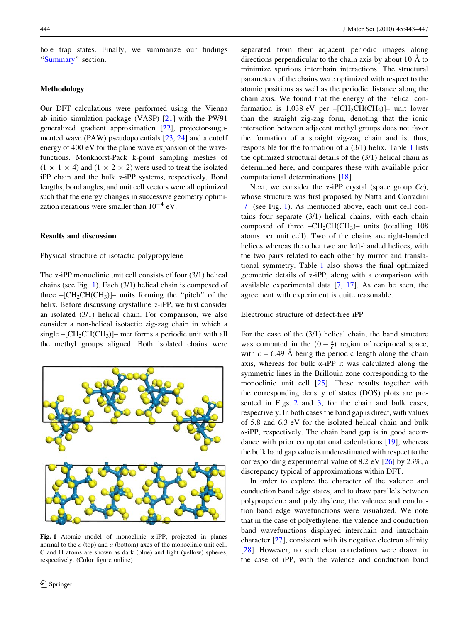<span id="page-1-0"></span>hole trap states. Finally, we summarize our findings "[Summary](#page-4-0)" section.

### Methodology

Our DFT calculations were performed using the Vienna ab initio simulation package (VASP) [[21\]](#page-4-0) with the PW91 generalized gradient approximation [[22\]](#page-4-0), projector-augumented wave (PAW) pseudopotentials [\[23,](#page-4-0) [24\]](#page-4-0) and a cutoff energy of 400 eV for the plane wave expansion of the wavefunctions. Monkhorst-Pack k-point sampling meshes of  $(1 \times 1 \times 4)$  and  $(1 \times 2 \times 2)$  were used to treat the isolated iPP chain and the bulk  $\alpha$ -iPP systems, respectively. Bond lengths, bond angles, and unit cell vectors were all optimized such that the energy changes in successive geometry optimization iterations were smaller than  $10^{-4}$  eV.

### Results and discussion

# Physical structure of isotactic polypropylene

The  $\alpha$ -iPP monoclinic unit cell consists of four (3/1) helical chains (see Fig. 1). Each (3/1) helical chain is composed of three  $-[CH_2CH(CH_3)]$ – units forming the "pitch" of the helix. Before discussing crystalline  $\alpha$ -iPP, we first consider an isolated (3/1) helical chain. For comparison, we also consider a non-helical isotactic zig-zag chain in which a single  $-[CH_2CH(CH_3)]$ – mer forms a periodic unit with all the methyl groups aligned. Both isolated chains were



Fig. 1 Atomic model of monoclinic  $\alpha$ -iPP, projected in planes normal to the  $c$  (top) and  $a$  (bottom) axes of the monoclinic unit cell. C and H atoms are shown as dark (blue) and light (yellow) spheres, respectively. (Color figure online)

separated from their adjacent periodic images along directions perpendicular to the chain axis by about 10  $\AA$  to minimize spurious interchain interactions. The structural parameters of the chains were optimized with respect to the atomic positions as well as the periodic distance along the chain axis. We found that the energy of the helical conformation is 1.038 eV per  $-[CH_2CH(CH_3)]$ – unit lower than the straight zig-zag form, denoting that the ionic interaction between adjacent methyl groups does not favor the formation of a straight zig-zag chain and is, thus, responsible for the formation of a (3/1) helix. Table [1](#page-2-0) lists the optimized structural details of the (3/1) helical chain as determined here, and compares these with available prior computational determinations [\[18](#page-4-0)].

Next, we consider the  $\alpha$ -iPP crystal (space group  $Cc$ ), whose structure was first proposed by Natta and Corradini [\[7](#page-4-0)] (see Fig. 1). As mentioned above, each unit cell contains four separate (3/1) helical chains, with each chain composed of three  $-CH_2CH(CH_3)$ – units (totalling 108 atoms per unit cell). Two of the chains are right-handed helices whereas the other two are left-handed helices, with the two pairs related to each other by mirror and translational symmetry. Table [1](#page-2-0) also shows the final optimized geometric details of  $\alpha$ -iPP, along with a comparison with available experimental data [[7,](#page-4-0) [17\]](#page-4-0). As can be seen, the agreement with experiment is quite reasonable.

#### Electronic structure of defect-free iPP

For the case of the (3/1) helical chain, the band structure was computed in the  $(0 - \frac{\pi}{c})$  region of reciprocal space, with  $c = 6.49$  Å being the periodic length along the chain axis, whereas for bulk  $\alpha$ -iPP it was calculated along the symmetric lines in the Brillouin zone corresponding to the monoclinic unit cell [\[25](#page-4-0)]. These results together with the corresponding density of states (DOS) plots are presented in Figs. [2](#page-2-0) and [3](#page-2-0), for the chain and bulk cases, respectively. In both cases the band gap is direct, with values of 5.8 and 6.3 eV for the isolated helical chain and bulk a-iPP, respectively. The chain band gap is in good accordance with prior computational calculations [\[19](#page-4-0)], whereas the bulk band gap value is underestimated with respect to the corresponding experimental value of 8.2 eV [[26\]](#page-4-0) by 23%, a discrepancy typical of approximations within DFT.

In order to explore the character of the valence and conduction band edge states, and to draw parallels between polypropelene and polyethylene, the valence and conduction band edge wavefunctions were visualized. We note that in the case of polyethylene, the valence and conduction band wavefunctions displayed interchain and intrachain character [\[27](#page-4-0)], consistent with its negative electron affinity [\[28](#page-4-0)]. However, no such clear correlations were drawn in the case of iPP, with the valence and conduction band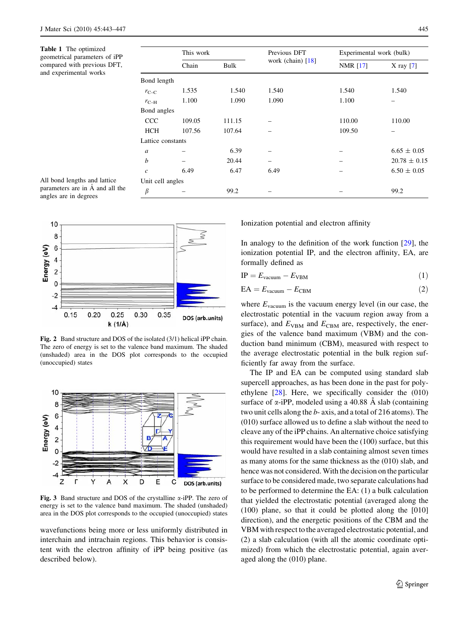<span id="page-2-0"></span>Table 1 The optimized geometrical parameters of iPP compared with previous DFT, and experimental works

|                   | This work |        | Previous DFT                    | Experimental work (bulk) |                  |
|-------------------|-----------|--------|---------------------------------|--------------------------|------------------|
|                   | Chain     | Bulk   | work (chain) $\lceil 18 \rceil$ | <b>NMR</b> [17]          | X ray $[7]$      |
| Bond length       |           |        |                                 |                          |                  |
| $r_{\text{C-C}}$  | 1.535     | 1.540  | 1.540                           | 1.540                    | 1.540            |
| $r_{\text{C-H}}$  | 1.100     | 1.090  | 1.090                           | 1.100                    |                  |
| Bond angles       |           |        |                                 |                          |                  |
| <b>CCC</b>        | 109.05    | 111.15 |                                 | 110.00                   | 110.00           |
| HCH               | 107.56    | 107.64 |                                 | 109.50                   |                  |
| Lattice constants |           |        |                                 |                          |                  |
| a                 |           | 6.39   |                                 |                          | $6.65 \pm 0.05$  |
| b                 |           | 20.44  |                                 |                          | $20.78 \pm 0.15$ |
| $\mathcal{C}$     | 6.49      | 6.47   | 6.49                            |                          | $6.50 \pm 0.05$  |
| Unit cell angles  |           |        |                                 |                          |                  |
| β                 |           | 99.2   |                                 |                          | 99.2             |

All bond lengths and lattice parameters are in  $\AA$  and all the angles are in degrees



Fig. 2 Band structure and DOS of the isolated (3/1) helical iPP chain. The zero of energy is set to the valence band maximum. The shaded (unshaded) area in the DOS plot corresponds to the occupied (unoccupied) states



Fig. 3 Band structure and DOS of the crystalline  $\alpha$ -iPP. The zero of energy is set to the valence band maximum. The shaded (unshaded) area in the DOS plot corresponds to the occupied (unoccupied) states

wavefunctions being more or less uniformly distributed in interchain and intrachain regions. This behavior is consistent with the electron affinity of iPP being positive (as described below).

Ionization potential and electron affinity

In analogy to the definition of the work function  $[29]$  $[29]$ , the ionization potential IP, and the electron affinity, EA, are formally defined as

$$
IP = E_{\text{vacuum}} - E_{\text{VBM}} \tag{1}
$$

$$
EA = E_{\text{vacuum}} - E_{\text{CBM}} \tag{2}
$$

where  $E_{\text{vacuum}}$  is the vacuum energy level (in our case, the electrostatic potential in the vacuum region away from a surface), and  $E_{\text{VBM}}$  and  $E_{\text{CBM}}$  are, respectively, the energies of the valence band maximum (VBM) and the conduction band minimum (CBM), measured with respect to the average electrostatic potential in the bulk region sufficiently far away from the surface.

The IP and EA can be computed using standard slab supercell approaches, as has been done in the past for polyethylene [[28\]](#page-4-0). Here, we specifically consider the (010) surface of  $\alpha$ -iPP, modeled using a 40.88 A slab (containing two unit cells along the b- axis, and a total of 216 atoms). The (010) surface allowed us to define a slab without the need to cleave any of the iPP chains. An alternative choice satisfying this requirement would have been the (100) surface, but this would have resulted in a slab containing almost seven times as many atoms for the same thickness as the (010) slab, and hence was not considered. With the decision on the particular surface to be considered made, two separate calculations had to be performed to determine the EA: (1) a bulk calculation that yielded the electrostatic potential (averaged along the (100) plane, so that it could be plotted along the [010] direction), and the energetic positions of the CBM and the VBM with respect to the averaged electrostatic potential, and (2) a slab calculation (with all the atomic coordinate optimized) from which the electrostatic potential, again averaged along the (010) plane.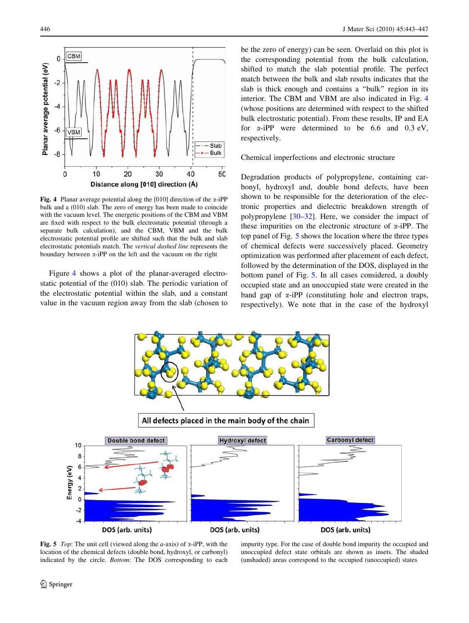<span id="page-3-0"></span>

Fig. 4 Planar average potential along the [010] direction of the  $\alpha$ -iPP bulk and a (010) slab. The zero of energy has been made to coincide with the vacuum level. The energetic positions of the CBM and VBM are fixed with respect to the bulk electrostatic potential (through a separate bulk calculation), and the CBM, VBM and the bulk electrostatic potential profile are shifted such that the bulk and slab electrostatic potentials match. The vertical dashed line represents the boundary between  $\alpha$ -iPP on the left and the vacuum on the right

Figure 4 shows a plot of the planar-averaged electrostatic potential of the (010) slab. The periodic variation of the electrostatic potential within the slab, and a constant value in the vacuum region away from the slab (chosen to

be the zero of energy) can be seen. Overlaid on this plot is the corresponding potential from the bulk calculation, shifted to match the slab potential profile. The perfect match between the bulk and slab results indicates that the slab is thick enough and contains a ''bulk'' region in its interior. The CBM and VBM are also indicated in Fig. 4 (whose positions are determined with respect to the shifted bulk electrostatic potential). From these results, IP and EA for  $\alpha$ -iPP were determined to be 6.6 and 0.3 eV, respectively.

Chemical imperfections and electronic structure

Degradation products of polypropylene, containing carbonyl, hydroxyl and, double bond defects, have been shown to be responsible for the deterioration of the electronic properties and dielectric breakdown strength of polypropylene [[30–32\]](#page-4-0). Here, we consider the impact of these impurities on the electronic structure of  $\alpha$ -iPP. The top panel of Fig. 5 shows the location where the three types of chemical defects were successively placed. Geometry optimization was performed after placement of each defect, followed by the determination of the DOS, displayed in the bottom panel of Fig. 5. In all cases considered, a doubly occupied state and an unoccupied state were created in the band gap of  $\alpha$ -iPP (constituting hole and electron traps, respectively). We note that in the case of the hydroxyl



Fig. 5 Top: The unit cell (viewed along the *a*-axis) of  $\alpha$ -iPP, with the location of the chemical defects (double bond, hydroxyl, or carbonyl) indicated by the circle. Bottom: The DOS corresponding to each

impurity type. For the case of double bond impurity the occupied and unoccupied defect state orbitals are shown as insets. The shaded (unshaded) areas correspond to the occupied (unoccupied) states